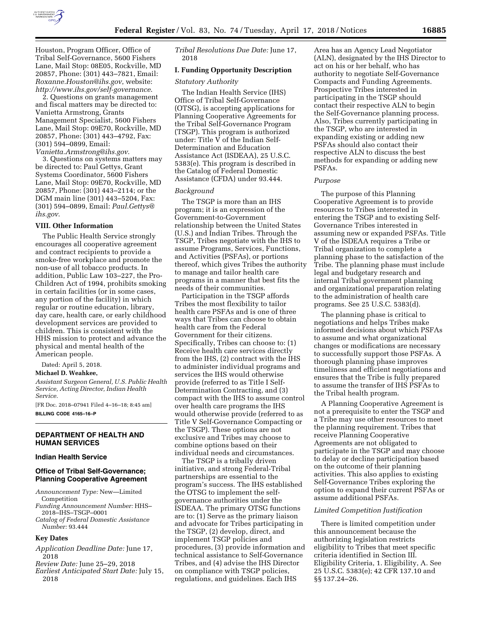

Houston, Program Officer, Office of Tribal Self-Governance, 5600 Fishers Lane, Mail Stop: 08E05, Rockville, MD 20857, Phone: (301) 443–7821, Email: *[Roxanne.Houston@ihs.gov](mailto:Roxanne.Houston@ihs.gov)*, website: *<http://www.ihs.gov/self-governance>*.

2. Questions on grants management and fiscal matters may be directed to: Vanietta Armstrong, Grants Management Specialist, 5600 Fishers Lane, Mail Stop: 09E70, Rockville, MD 20857, Phone: (301) 443–4792, Fax: (301) 594–0899, Email:

*[Vanietta.Armstrong@ihs.gov](mailto:Vanietta.Armstrong@ihs.gov)*. 3. Questions on systems matters may be directed to: Paul Gettys, Grant Systems Coordinator, 5600 Fishers

Lane, Mail Stop: 09E70, Rockville, MD 20857, Phone: (301) 443–2114; or the DGM main line (301) 443–5204, Fax: (301) 594–0899, Email: *[Paul.Gettys@](mailto:Paul.Gettys@ihs.gov) [ihs.gov](mailto:Paul.Gettys@ihs.gov)*.

## **VIII. Other Information**

The Public Health Service strongly encourages all cooperative agreement and contract recipients to provide a smoke-free workplace and promote the non-use of all tobacco products. In addition, Public Law 103–227, the Pro-Children Act of 1994, prohibits smoking in certain facilities (or in some cases, any portion of the facility) in which regular or routine education, library, day care, health care, or early childhood development services are provided to children. This is consistent with the HHS mission to protect and advance the physical and mental health of the American people.

Dated: April 5, 2018.

#### **Michael D. Weahkee,**

*Assistant Surgeon General, U.S. Public Health Service, Acting Director, Indian Health Service.* 

[FR Doc. 2018–07941 Filed 4–16–18; 8:45 am] **BILLING CODE 4165–16–P** 

### **DEPARTMENT OF HEALTH AND HUMAN SERVICES**

#### **Indian Health Service**

# **Office of Tribal Self-Governance; Planning Cooperative Agreement**

- *Announcement Type:* New—Limited Competition
- *Funding Announcement Number:* HHS– 2018–IHS–TSGP–0001
- *Catalog of Federal Domestic Assistance Number:* 93.444

#### **Key Dates**

- *Application Deadline Date:* June 17, 2018
- *Review Date:* June 25–29, 2018
- *Earliest Anticipated Start Date:* July 15, 2018

*Tribal Resolutions Due Date:* June 17, 2018

# **I. Funding Opportunity Description**

# *Statutory Authority*

The Indian Health Service (IHS) Office of Tribal Self-Governance (OTSG), is accepting applications for Planning Cooperative Agreements for the Tribal Self-Governance Program (TSGP). This program is authorized under: Title V of the Indian Self-Determination and Education Assistance Act (ISDEAA), 25 U.S.C. 5383(e). This program is described in the Catalog of Federal Domestic Assistance (CFDA) under 93.444.

## *Background*

The TSGP is more than an IHS program; it is an expression of the Government-to-Government relationship between the United States (U.S.) and Indian Tribes. Through the TSGP, Tribes negotiate with the IHS to assume Programs, Services, Functions, and Activities (PSFAs), or portions thereof, which gives Tribes the authority to manage and tailor health care programs in a manner that best fits the needs of their communities.

Participation in the TSGP affords Tribes the most flexibility to tailor health care PSFAs and is one of three ways that Tribes can choose to obtain health care from the Federal Government for their citizens. Specifically, Tribes can choose to: (1) Receive health care services directly from the IHS, (2) contract with the IHS to administer individual programs and services the IHS would otherwise provide (referred to as Title I Self-Determination Contracting, and (3) compact with the IHS to assume control over health care programs the IHS would otherwise provide (referred to as Title V Self-Governance Compacting or the TSGP). These options are not exclusive and Tribes may choose to combine options based on their individual needs and circumstances.

The TSGP is a tribally driven initiative, and strong Federal-Tribal partnerships are essential to the program's success. The IHS established the OTSG to implement the selfgovernance authorities under the ISDEAA. The primary OTSG functions are to: (1) Serve as the primary liaison and advocate for Tribes participating in the TSGP, (2) develop, direct, and implement TSGP policies and procedures, (3) provide information and technical assistance to Self-Governance Tribes, and (4) advise the IHS Director on compliance with TSGP policies, regulations, and guidelines. Each IHS

Area has an Agency Lead Negotiator (ALN), designated by the IHS Director to act on his or her behalf, who has authority to negotiate Self-Governance Compacts and Funding Agreements. Prospective Tribes interested in participating in the TSGP should contact their respective ALN to begin the Self-Governance planning process. Also, Tribes currently participating in the TSGP, who are interested in expanding existing or adding new PSFAs should also contact their respective ALN to discuss the best methods for expanding or adding new PSFAs.

### *Purpose*

The purpose of this Planning Cooperative Agreement is to provide resources to Tribes interested in entering the TSGP and to existing Self-Governance Tribes interested in assuming new or expanded PSFAs. Title V of the ISDEAA requires a Tribe or Tribal organization to complete a planning phase to the satisfaction of the Tribe. The planning phase must include legal and budgetary research and internal Tribal government planning and organizational preparation relating to the administration of health care programs. See 25 U.S.C. 5383(d).

The planning phase is critical to negotiations and helps Tribes make informed decisions about which PSFAs to assume and what organizational changes or modifications are necessary to successfully support those PSFAs. A thorough planning phase improves timeliness and efficient negotiations and ensures that the Tribe is fully prepared to assume the transfer of IHS PSFAs to the Tribal health program.

A Planning Cooperative Agreement is not a prerequisite to enter the TSGP and a Tribe may use other resources to meet the planning requirement. Tribes that receive Planning Cooperative Agreements are not obligated to participate in the TSGP and may choose to delay or decline participation based on the outcome of their planning activities. This also applies to existing Self-Governance Tribes exploring the option to expand their current PSFAs or assume additional PSFAs.

### *Limited Competition Justification*

There is limited competition under this announcement because the authorizing legislation restricts eligibility to Tribes that meet specific criteria identified in Section III. Eligibility Criteria, 1. Eligibility, A. See 25 U.S.C. 5383(e); 42 CFR 137.10 and §§ 137.24–26.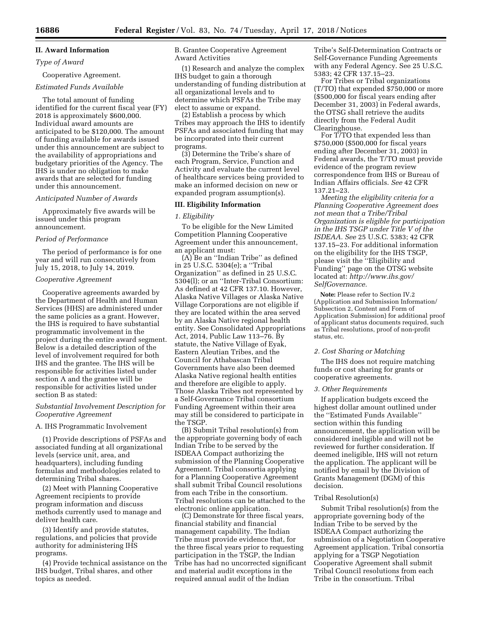# **II. Award Information**

# *Type of Award*

# Cooperative Agreement. *Estimated Funds Available*

The total amount of funding identified for the current fiscal year (FY) 2018 is approximately \$600,000. Individual award amounts are anticipated to be \$120,000. The amount of funding available for awards issued under this announcement are subject to the availability of appropriations and budgetary priorities of the Agency. The IHS is under no obligation to make awards that are selected for funding under this announcement.

# *Anticipated Number of Awards*

Approximately five awards will be issued under this program announcement.

# *Period of Performance*

The period of performance is for one year and will run consecutively from July 15, 2018, to July 14, 2019.

## *Cooperative Agreement*

Cooperative agreements awarded by the Department of Health and Human Services (HHS) are administered under the same policies as a grant. However, the IHS is required to have substantial programmatic involvement in the project during the entire award segment. Below is a detailed description of the level of involvement required for both IHS and the grantee. The IHS will be responsible for activities listed under section A and the grantee will be responsible for activities listed under section B as stated:

# *Substantial Involvement Description for Cooperative Agreement*

## A. IHS Programmatic Involvement

(1) Provide descriptions of PSFAs and associated funding at all organizational levels (service unit, area, and headquarters), including funding formulas and methodologies related to determining Tribal shares.

(2) Meet with Planning Cooperative Agreement recipients to provide program information and discuss methods currently used to manage and deliver health care.

(3) Identify and provide statutes, regulations, and policies that provide authority for administering IHS programs.

(4) Provide technical assistance on the IHS budget, Tribal shares, and other topics as needed.

B. Grantee Cooperative Agreement Award Activities

(1) Research and analyze the complex IHS budget to gain a thorough understanding of funding distribution at all organizational levels and to determine which PSFAs the Tribe may elect to assume or expand.

(2) Establish a process by which Tribes may approach the IHS to identify PSFAs and associated funding that may be incorporated into their current programs.

(3) Determine the Tribe's share of each Program, Service, Function and Activity and evaluate the current level of healthcare services being provided to make an informed decision on new or expanded program assumption(s).

# **III. Eligibility Information**

# *1. Eligibility*

To be eligible for the New Limited Competition Planning Cooperative Agreement under this announcement, an applicant must:

(A) Be an ''Indian Tribe'' as defined in 25 U.S.C. 5304(e); a ''Tribal Organization'' as defined in 25 U.S.C. 5304(l); or an ''Inter-Tribal Consortium: As defined at 42 CFR 137.10. However, Alaska Native Villages or Alaska Native Village Corporations are not eligible if they are located within the area served by an Alaska Native regional health entity. See Consolidated Appropriations Act, 2014, Public Law 113–76. By statute, the Native Village of Eyak, Eastern Aleutian Tribes, and the Council for Athabascan Tribal Governments have also been deemed Alaska Native regional health entities and therefore are eligible to apply. Those Alaska Tribes not represented by a Self-Governance Tribal consortium Funding Agreement within their area may still be considered to participate in the TSGP.

(B) Submit Tribal resolution(s) from the appropriate governing body of each Indian Tribe to be served by the ISDEAA Compact authorizing the submission of the Planning Cooperative Agreement. Tribal consortia applying for a Planning Cooperative Agreement shall submit Tribal Council resolutions from each Tribe in the consortium. Tribal resolutions can be attached to the electronic online application.

(C) Demonstrate for three fiscal years, financial stability and financial management capability. The Indian Tribe must provide evidence that, for the three fiscal years prior to requesting participation in the TSGP, the Indian Tribe has had no uncorrected significant and material audit exceptions in the required annual audit of the Indian

Tribe's Self-Determination Contracts or Self-Governance Funding Agreements with any Federal Agency. See 25 U.S.C. 5383; 42 CFR 137.15–23.

For Tribes or Tribal organizations (T/TO) that expended \$750,000 or more (\$500,000 for fiscal years ending after December 31, 2003) in Federal awards, the OTSG shall retrieve the audits directly from the Federal Audit Clearinghouse.

For T/TO that expended less than \$750,000 (\$500,000 for fiscal years ending after December 31, 2003) in Federal awards, the T/TO must provide evidence of the program review correspondence from IHS or Bureau of Indian Affairs officials. *See* 42 CFR 137.21–23.

*Meeting the eligibility criteria for a Planning Cooperative Agreement does not mean that a Tribe/Tribal Organization is eligible for participation in the IHS TSGP under Title V of the ISDEAA. See* 25 U.S.C. 5383; 42 CFR 137.15–23. For additional information on the eligibility for the IHS TSGP, please visit the ''Eligibility and Funding'' page on the OTSG website located at: *[http://www.ihs.gov/](http://www.ihs.gov/SelfGovernance)  [SelfGovernance.](http://www.ihs.gov/SelfGovernance)* 

**Note:** Please refer to Section IV.2 (Application and Submission Information/ Subsection 2, Content and Form of Application Submission) for additional proof of applicant status documents required, such as Tribal resolutions, proof of non-profit status, etc.

# *2. Cost Sharing or Matching*

The IHS does not require matching funds or cost sharing for grants or cooperative agreements.

#### *3. Other Requirements*

If application budgets exceed the highest dollar amount outlined under the ''Estimated Funds Available'' section within this funding announcement, the application will be considered ineligible and will not be reviewed for further consideration. If deemed ineligible, IHS will not return the application. The applicant will be notified by email by the Division of Grants Management (DGM) of this decision.

# Tribal Resolution(s)

Submit Tribal resolution(s) from the appropriate governing body of the Indian Tribe to be served by the ISDEAA Compact authorizing the submission of a Negotiation Cooperative Agreement application. Tribal consortia applying for a TSGP Negotiation Cooperative Agreement shall submit Tribal Council resolutions from each Tribe in the consortium. Tribal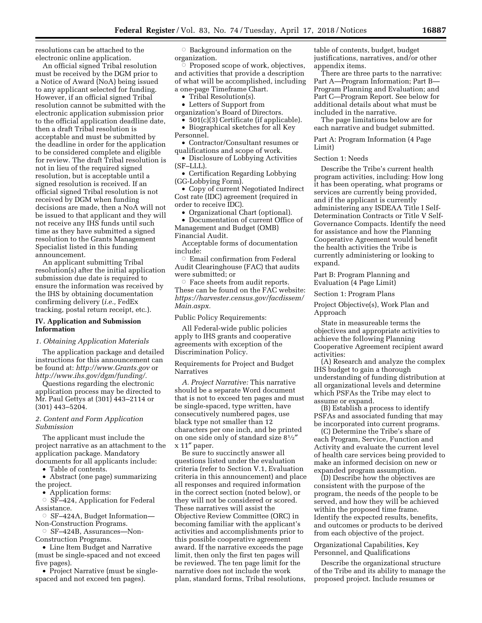resolutions can be attached to the electronic online application.

An official signed Tribal resolution must be received by the DGM prior to a Notice of Award (NoA) being issued to any applicant selected for funding. However, if an official signed Tribal resolution cannot be submitted with the electronic application submission prior to the official application deadline date, then a draft Tribal resolution is acceptable and must be submitted by the deadline in order for the application to be considered complete and eligible for review. The draft Tribal resolution is not in lieu of the required signed resolution, but is acceptable until a signed resolution is received. If an official signed Tribal resolution is not received by DGM when funding decisions are made, then a NoA will not be issued to that applicant and they will not receive any IHS funds until such time as they have submitted a signed resolution to the Grants Management Specialist listed in this funding announcement.

An applicant submitting Tribal resolution(s) after the initial application submission due date is required to ensure the information was received by the IHS by obtaining documentation confirming delivery (*i.e.,* FedEx tracking, postal return receipt, etc.).

## **IV. Application and Submission Information**

### *1. Obtaining Application Materials*

The application package and detailed instructions for this announcement can be found at: *<http://www.Grants.gov>* or *[http://www.ihs.gov/dgm/funding/.](http://www.ihs.gov/dgm/funding/)* 

Questions regarding the electronic application process may be directed to Mr. Paul Gettys at (301) 443–2114 or (301) 443–5204.

# *2. Content and Form Application Submission*

The applicant must include the project narrative as an attachment to the application package. Mandatory documents for all applicants include:

• Table of contents.

• Abstract (one page) summarizing the project.

• Application forms:

 $\circ$  SF–424, Application for Federal Assistance.

Æ SF–424A, Budget Information—

Non-Construction Programs. Æ SF–424B, Assurances—Non-

Construction Programs.

• Line Item Budget and Narrative (must be single-spaced and not exceed five pages).

• Project Narrative (must be singlespaced and not exceed ten pages).

 $\circ$  Background information on the organization.

ŏ Proposed scope of work, objectives, and activities that provide a description of what will be accomplished, including a one-page Timeframe Chart.

• Tribal Resolution(s).

• Letters of Support from

organization's Board of Directors.

- 501(c)(3) Certificate (if applicable). • Biographical sketches for all Key
- Personnel.

• Contractor/Consultant resumes or qualifications and scope of work.

• Disclosure of Lobbying Activities (SF–LLL).

• Certification Regarding Lobbying (GG-Lobbying Form).

• Copy of current Negotiated Indirect Cost rate (IDC) agreement (required in order to receive IDC).

• Organizational Chart (optional).

• Documentation of current Office of Management and Budget (OMB) Financial Audit.

Acceptable forms of documentation include:

 $\circ$  Email confirmation from Federal Audit Clearinghouse (FAC) that audits were submitted; or

 $\circ$  Face sheets from audit reports. These can be found on the FAC website: *[https://harvester.census.gov/facdissem/](https://harvester.census.gov/facdissem/Main.aspx) [Main.aspx.](https://harvester.census.gov/facdissem/Main.aspx)* 

Public Policy Requirements:

All Federal-wide public policies apply to IHS grants and cooperative agreements with exception of the Discrimination Policy.

Requirements for Project and Budget Narratives

*A. Project Narrative:* This narrative should be a separate Word document that is not to exceed ten pages and must be single-spaced, type written, have consecutively numbered pages, use black type not smaller than 12 characters per one inch, and be printed on one side only of standard size 81⁄2″ x 11″ paper.

Be sure to succinctly answer all questions listed under the evaluation criteria (refer to Section V.1, Evaluation criteria in this announcement) and place all responses and required information in the correct section (noted below), or they will not be considered or scored. These narratives will assist the Objective Review Committee (ORC) in becoming familiar with the applicant's activities and accomplishments prior to this possible cooperative agreement award. If the narrative exceeds the page limit, then only the first ten pages will be reviewed. The ten page limit for the narrative does not include the work plan, standard forms, Tribal resolutions,

table of contents, budget, budget justifications, narratives, and/or other appendix items.

There are three parts to the narrative: Part A—Program Information; Part B— Program Planning and Evaluation; and Part C—Program Report. See below for additional details about what must be included in the narrative.

The page limitations below are for each narrative and budget submitted.

Part A: Program Information (4 Page Limit)

## Section 1: Needs

Describe the Tribe's current health program activities, including: How long it has been operating, what programs or services are currently being provided, and if the applicant is currently administering any ISDEAA Title I Self-Determination Contracts or Title V Self-Governance Compacts. Identify the need for assistance and how the Planning Cooperative Agreement would benefit the health activities the Tribe is currently administering or looking to expand.

Part B: Program Planning and Evaluation (4 Page Limit)

Section 1: Program Plans

Project Objective(s), Work Plan and Approach

State in measureable terms the objectives and appropriate activities to achieve the following Planning Cooperative Agreement recipient award activities:

(A) Research and analyze the complex IHS budget to gain a thorough understanding of funding distribution at all organizational levels and determine which PSFAs the Tribe may elect to assume or expand.

(B) Establish a process to identify PSFAs and associated funding that may be incorporated into current programs.

(C) Determine the Tribe's share of each Program, Service, Function and Activity and evaluate the current level of health care services being provided to make an informed decision on new or expanded program assumption.

(D) Describe how the objectives are consistent with the purpose of the program, the needs of the people to be served, and how they will be achieved within the proposed time frame. Identify the expected results, benefits, and outcomes or products to be derived from each objective of the project.

Organizational Capabilities, Key Personnel, and Qualifications

Describe the organizational structure of the Tribe and its ability to manage the proposed project. Include resumes or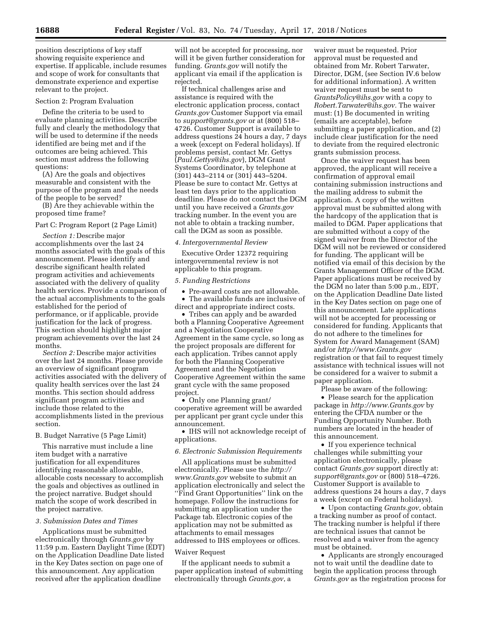position descriptions of key staff showing requisite experience and expertise. If applicable, include resumes and scope of work for consultants that demonstrate experience and expertise relevant to the project.

#### Section 2: Program Evaluation

Define the criteria to be used to evaluate planning activities. Describe fully and clearly the methodology that will be used to determine if the needs identified are being met and if the outcomes are being achieved. This section must address the following questions:

(A) Are the goals and objectives measurable and consistent with the purpose of the program and the needs of the people to be served?

(B) Are they achievable within the proposed time frame?

#### Part C: Program Report (2 Page Limit)

*Section 1:* Describe major accomplishments over the last 24 months associated with the goals of this announcement. Please identify and describe significant health related program activities and achievements associated with the delivery of quality health services. Provide a comparison of the actual accomplishments to the goals established for the period of performance, or if applicable, provide justification for the lack of progress. This section should highlight major program achievements over the last 24 months.

*Section 2:* Describe major activities over the last 24 months. Please provide an overview of significant program activities associated with the delivery of quality health services over the last 24 months. This section should address significant program activities and include those related to the accomplishments listed in the previous section.

# B. Budget Narrative (5 Page Limit)

This narrative must include a line item budget with a narrative justification for all expenditures identifying reasonable allowable, allocable costs necessary to accomplish the goals and objectives as outlined in the project narrative. Budget should match the scope of work described in the project narrative.

#### *3. Submission Dates and Times*

Applications must be submitted electronically through *Grants.gov* by 11:59 p.m. Eastern Daylight Time (EDT) on the Application Deadline Date listed in the Key Dates section on page one of this announcement. Any application received after the application deadline

will not be accepted for processing, nor will it be given further consideration for funding. *Grants.gov* will notify the applicant via email if the application is rejected.

If technical challenges arise and assistance is required with the electronic application process, contact *Grants.gov* Customer Support via email to *[support@grants.gov](mailto:support@grants.gov)* or at (800) 518– 4726. Customer Support is available to address questions 24 hours a day, 7 days a week (except on Federal holidays). If problems persist, contact Mr. Gettys (*[Paul.Gettys@ihs.gov](mailto:Paul.Gettys@ihs.gov)*), DGM Grant Systems Coordinator, by telephone at (301) 443–2114 or (301) 443–5204. Please be sure to contact Mr. Gettys at least ten days prior to the application deadline. Please do not contact the DGM until you have received a *Grants.gov*  tracking number. In the event you are not able to obtain a tracking number, call the DGM as soon as possible.

### *4. Intergovernmental Review*

Executive Order 12372 requiring intergovernmental review is not applicable to this program.

### *5. Funding Restrictions*

• Pre-award costs are not allowable. • The available funds are inclusive of direct and appropriate indirect costs.

• Tribes can apply and be awarded both a Planning Cooperative Agreement and a Negotiation Cooperative Agreement in the same cycle, so long as the project proposals are different for each application. Tribes cannot apply for both the Planning Cooperative Agreement and the Negotiation Cooperative Agreement within the same grant cycle with the same proposed project.

• Only one Planning grant/ cooperative agreement will be awarded per applicant per grant cycle under this announcement.

• IHS will not acknowledge receipt of applications.

#### *6. Electronic Submission Requirements*

All applications must be submitted electronically. Please use the *[http://](http://www.Grants.gov) [www.Grants.gov](http://www.Grants.gov)* website to submit an application electronically and select the ''Find Grant Opportunities'' link on the homepage. Follow the instructions for submitting an application under the Package tab. Electronic copies of the application may not be submitted as attachments to email messages addressed to IHS employees or offices.

#### Waiver Request

If the applicant needs to submit a paper application instead of submitting electronically through *Grants.gov*, a

waiver must be requested. Prior approval must be requested and obtained from Mr. Robert Tarwater, Director, DGM, (see Section IV.6 below for additional information). A written waiver request must be sent to *[GrantsPolicy@ihs.gov](mailto:GrantsPolicy@ihs.gov)* with a copy to *[Robert.Tarwater@ihs.gov.](mailto:Robert.Tarwater@ihs.gov)* The waiver must: (1) Be documented in writing (emails are acceptable), before submitting a paper application, and (2) include clear justification for the need to deviate from the required electronic grants submission process.

Once the waiver request has been approved, the applicant will receive a confirmation of approval email containing submission instructions and the mailing address to submit the application. A copy of the written approval must be submitted along with the hardcopy of the application that is mailed to DGM. Paper applications that are submitted without a copy of the signed waiver from the Director of the DGM will not be reviewed or considered for funding. The applicant will be notified via email of this decision by the Grants Management Officer of the DGM. Paper applications must be received by the DGM no later than 5:00 p.m., EDT, on the Application Deadline Date listed in the Key Dates section on page one of this announcement. Late applications will not be accepted for processing or considered for funding. Applicants that do not adhere to the timelines for System for Award Management (SAM) and/or *<http://www.Grants.gov>* registration or that fail to request timely assistance with technical issues will not be considered for a waiver to submit a paper application.

Please be aware of the following:

• Please search for the application package in *<http://www.Grants.gov>* by entering the CFDA number or the Funding Opportunity Number. Both numbers are located in the header of this announcement.

• If you experience technical challenges while submitting your application electronically, please contact *Grants.gov* support directly at: *[support@grants.gov](mailto:support@grants.gov)* or (800) 518–4726. Customer Support is available to address questions 24 hours a day, 7 days a week (except on Federal holidays).

• Upon contacting *Grants.gov*, obtain a tracking number as proof of contact. The tracking number is helpful if there are technical issues that cannot be resolved and a waiver from the agency must be obtained.

• Applicants are strongly encouraged not to wait until the deadline date to begin the application process through *Grants.gov* as the registration process for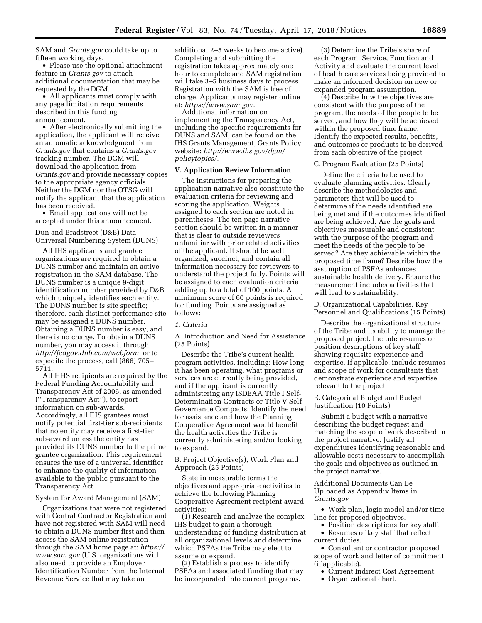SAM and *Grants.gov* could take up to fifteen working days.

• Please use the optional attachment feature in *Grants.gov* to attach additional documentation that may be requested by the DGM.

• All applicants must comply with any page limitation requirements described in this funding announcement.

• After electronically submitting the application, the applicant will receive an automatic acknowledgment from *Grants.gov* that contains a *Grants.gov*  tracking number. The DGM will download the application from *Grants.gov* and provide necessary copies to the appropriate agency officials. Neither the DGM nor the OTSG will notify the applicant that the application has been received.

• Email applications will not be accepted under this announcement.

# Dun and Bradstreet (D&B) Data Universal Numbering System (DUNS)

All IHS applicants and grantee organizations are required to obtain a DUNS number and maintain an active registration in the SAM database. The DUNS number is a unique 9-digit identification number provided by D&B which uniquely identifies each entity. The DUNS number is site specific; therefore, each distinct performance site may be assigned a DUNS number. Obtaining a DUNS number is easy, and there is no charge. To obtain a DUNS number, you may access it through *[http://fedgov.dnb.com/webform,](http://fedgov.dnb.com/webform)* or to expedite the process, call (866) 705– 5711.

All HHS recipients are required by the Federal Funding Accountability and Transparency Act of 2006, as amended (''Transparency Act''), to report information on sub-awards. Accordingly, all IHS grantees must notify potential first-tier sub-recipients that no entity may receive a first-tier sub-award unless the entity has provided its DUNS number to the prime grantee organization. This requirement ensures the use of a universal identifier to enhance the quality of information available to the public pursuant to the Transparency Act.

### System for Award Management (SAM)

Organizations that were not registered with Central Contractor Registration and have not registered with SAM will need to obtain a DUNS number first and then access the SAM online registration through the SAM home page at: *[https://](https://www.sam.gov)  [www.sam.gov](https://www.sam.gov)* (U.S. organizations will also need to provide an Employer Identification Number from the Internal Revenue Service that may take an

additional 2–5 weeks to become active). Completing and submitting the registration takes approximately one hour to complete and SAM registration will take  $3-\overline{5}$  business days to process. Registration with the SAM is free of charge. Applicants may register online at: *[https://www.sam.gov.](https://www.sam.gov)* 

Additional information on implementing the Transparency Act, including the specific requirements for DUNS and SAM, can be found on the IHS Grants Management, Grants Policy website: *[http://www.ihs.gov/dgm/](http://www.ihs.gov/dgm/policytopics/)  [policytopics/.](http://www.ihs.gov/dgm/policytopics/)* 

# **V. Application Review Information**

The instructions for preparing the application narrative also constitute the evaluation criteria for reviewing and scoring the application. Weights assigned to each section are noted in parentheses. The ten page narrative section should be written in a manner that is clear to outside reviewers unfamiliar with prior related activities of the applicant. It should be well organized, succinct, and contain all information necessary for reviewers to understand the project fully. Points will be assigned to each evaluation criteria adding up to a total of 100 points. A minimum score of 60 points is required for funding. Points are assigned as follows:

#### *1. Criteria*

A. Introduction and Need for Assistance (25 Points)

Describe the Tribe's current health program activities, including: How long it has been operating, what programs or services are currently being provided, and if the applicant is currently administering any ISDEAA Title I Self-Determination Contracts or Title V Self-Governance Compacts. Identify the need for assistance and how the Planning Cooperative Agreement would benefit the health activities the Tribe is currently administering and/or looking to expand.

B. Project Objective(s), Work Plan and Approach (25 Points)

State in measurable terms the objectives and appropriate activities to achieve the following Planning Cooperative Agreement recipient award activities:

(1) Research and analyze the complex IHS budget to gain a thorough understanding of funding distribution at all organizational levels and determine which PSFAs the Tribe may elect to assume or expand.

(2) Establish a process to identify PSFAs and associated funding that may be incorporated into current programs.

(3) Determine the Tribe's share of each Program, Service, Function and Activity and evaluate the current level of health care services being provided to make an informed decision on new or expanded program assumption.

(4) Describe how the objectives are consistent with the purpose of the program, the needs of the people to be served, and how they will be achieved within the proposed time frame. Identify the expected results, benefits, and outcomes or products to be derived from each objective of the project.

### C. Program Evaluation (25 Points)

Define the criteria to be used to evaluate planning activities. Clearly describe the methodologies and parameters that will be used to determine if the needs identified are being met and if the outcomes identified are being achieved. Are the goals and objectives measurable and consistent with the purpose of the program and meet the needs of the people to be served? Are they achievable within the proposed time frame? Describe how the assumption of PSFAs enhances sustainable health delivery. Ensure the measurement includes activities that will lead to sustainability.

D. Organizational Capabilities, Key Personnel and Qualifications (15 Points)

Describe the organizational structure of the Tribe and its ability to manage the proposed project. Include resumes or position descriptions of key staff showing requisite experience and expertise. If applicable, include resumes and scope of work for consultants that demonstrate experience and expertise relevant to the project.

E. Categorical Budget and Budget Justification (10 Points)

Submit a budget with a narrative describing the budget request and matching the scope of work described in the project narrative. Justify all expenditures identifying reasonable and allowable costs necessary to accomplish the goals and objectives as outlined in the project narrative.

Additional Documents Can Be Uploaded as Appendix Items in *Grants.gov* 

• Work plan, logic model and/or time line for proposed objectives.

- Position descriptions for key staff. • Resumes of key staff that reflect
- current duties.

• Consultant or contractor proposed scope of work and letter of commitment (if applicable).

- Current Indirect Cost Agreement.
- Organizational chart.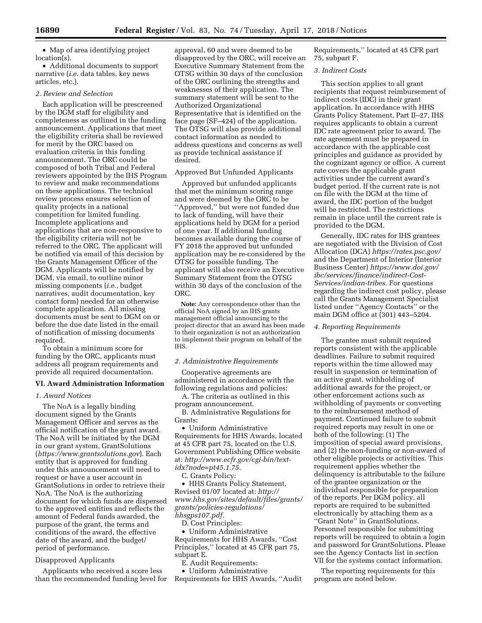• Map of area identifying project location(s).

• Additional documents to support narrative (*i.e.* data tables, key news articles, etc.).

## *2. Review and Selection*

Each application will be prescreened by the DGM staff for eligibility and completeness as outlined in the funding announcement. Applications that meet the eligibility criteria shall be reviewed for merit by the ORC based on evaluation criteria in this funding announcement. The ORC could be composed of both Tribal and Federal reviewers appointed by the IHS Program to review and make recommendations on these applications. The technical review process ensures selection of quality projects in a national competition for limited funding. Incomplete applications and applications that are non-responsive to the eligibility criteria will not be referred to the ORC. The applicant will be notified via email of this decision by the Grants Management Officer of the DGM. Applicants will be notified by DGM, via email, to outline minor missing components (*i.e.,* budget narratives, audit documentation, key contact form) needed for an otherwise complete application. All missing documents must be sent to DGM on or before the due date listed in the email of notification of missing documents required.

To obtain a minimum score for funding by the ORC, applicants must address all program requirements and provide all required documentation.

# **VI. Award Administration Information**

#### *1. Award Notices*

The NoA is a legally binding document signed by the Grants Management Officer and serves as the official notification of the grant award. The NoA will be initiated by the DGM in our grant system, GrantSolutions (*<https://www.grantsolutions.gov>*). Each entity that is approved for funding under this announcement will need to request or have a user account in GrantSolutions in order to retrieve their NoA. The NoA is the authorizing document for which funds are dispersed to the approved entities and reflects the amount of Federal funds awarded, the purpose of the grant, the terms and conditions of the award, the effective date of the award, and the budget/ period of performance.

### Disapproved Applicants

Applicants who received a score less than the recommended funding level for

approval, 60 and were deemed to be disapproved by the ORC, will receive an Executive Summary Statement from the OTSG within 30 days of the conclusion of the ORC outlining the strengths and weaknesses of their application. The summary statement will be sent to the Authorized Organizational Representative that is identified on the face page (SF–424) of the application. The OTSG will also provide additional contact information as needed to address questions and concerns as well as provide technical assistance if desired.

# Approved But Unfunded Applicants

Approved but unfunded applicants that met the minimum scoring range and were deemed by the ORC to be ''Approved,'' but were not funded due to lack of funding, will have their applications held by DGM for a period of one year. If additional funding becomes available during the course of FY 2018 the approved but unfunded application may be re-considered by the OTSG for possible funding. The applicant will also receive an Executive Summary Statement from the OTSG within 30 days of the conclusion of the ORC.

**Note:** Any correspondence other than the official NoA signed by an IHS grants management official announcing to the project director that an award has been made to their organization is not an authorization to implement their program on behalf of the IHS.

#### *2. Administrative Requirements*

Cooperative agreements are administered in accordance with the following regulations and policies:

A. The criteria as outlined in this program announcement.

B. Administrative Regulations for Grants:

• Uniform Administrative Requirements for HHS Awards, located at 45 CFR part 75, located on the U.S. Government Publishing Office website at: *[http://www.ecfr.gov/cgi-bin/text](http://www.ecfr.gov/cgi-bin/text-idx?node=pt45.1.75)[idx?node=pt45.1.75.](http://www.ecfr.gov/cgi-bin/text-idx?node=pt45.1.75)* 

C. Grants Policy:

• HHS Grants Policy Statement, Revised 01/07 located at: *[http://](http://www.hhs.gov/sites/default/files/grants/grants/policies-regulations/hhsgps107.pdf) [www.hhs.gov/sites/default/files/grants/](http://www.hhs.gov/sites/default/files/grants/grants/policies-regulations/hhsgps107.pdf) [grants/policies-regulations/](http://www.hhs.gov/sites/default/files/grants/grants/policies-regulations/hhsgps107.pdf)  [hhsgps107.pdf.](http://www.hhs.gov/sites/default/files/grants/grants/policies-regulations/hhsgps107.pdf)* 

D. Cost Principles:

• Uniform Administrative Requirements for HHS Awards, ''Cost Principles,'' located at 45 CFR part 75, subpart E.

E. Audit Requirements:

• Uniform Administrative Requirements for HHS Awards, ''Audit

Requirements,'' located at 45 CFR part 75, subpart F.

### *3. Indirect Costs*

This section applies to all grant recipients that request reimbursement of indirect costs (IDC) in their grant application. In accordance with HHS Grants Policy Statement, Part II–27, IHS requires applicants to obtain a current IDC rate agreement prior to award. The rate agreement must be prepared in accordance with the applicable cost principles and guidance as provided by the cognizant agency or office. A current rate covers the applicable grant activities under the current award's budget period. If the current rate is not on file with the DGM at the time of award, the IDC portion of the budget will be restricted. The restrictions remain in place until the current rate is provided to the DGM.

Generally, IDC rates for IHS grantees are negotiated with the Division of Cost Allocation (DCA) *<https://rates.psc.gov/>*  and the Department of Interior (Interior Business Center) *[https://www.doi.gov/](https://www.doi.gov/ibc/services/finance/indirect-Cost-Services/indian-tribes) [ibc/services/finance/indirect-Cost-](https://www.doi.gov/ibc/services/finance/indirect-Cost-Services/indian-tribes)[Services/indian-tribes.](https://www.doi.gov/ibc/services/finance/indirect-Cost-Services/indian-tribes)* For questions regarding the indirect cost policy, please call the Grants Management Specialist listed under ''Agency Contacts'' or the main DGM office at (301) 443–5204.

## *4. Reporting Requirements*

The grantee must submit required reports consistent with the applicable deadlines. Failure to submit required reports within the time allowed may result in suspension or termination of an active grant, withholding of additional awards for the project, or other enforcement actions such as withholding of payments or converting to the reimbursement method of payment. Continued failure to submit required reports may result in one or both of the following: (1) The imposition of special award provisions, and (2) the non-funding or non-award of other eligible projects or activities. This requirement applies whether the delinquency is attributable to the failure of the grantee organization or the individual responsible for preparation of the reports. Per DGM policy, all reports are required to be submitted electronically by attaching them as a ''Grant Note'' in GrantSolutions. Personnel responsible for submitting reports will be required to obtain a login and password for GrantSolutions. Please see the Agency Contacts list in section VII for the systems contact information.

The reporting requirements for this program are noted below.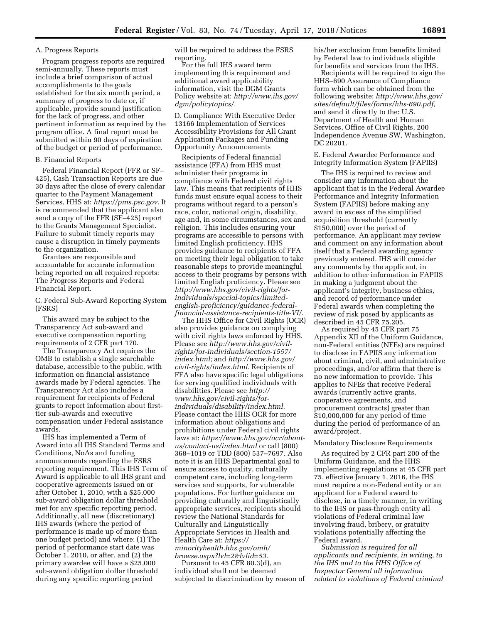# A. Progress Reports

Program progress reports are required semi-annually. These reports must include a brief comparison of actual accomplishments to the goals established for the six month period, a summary of progress to date or, if applicable, provide sound justification for the lack of progress, and other pertinent information as required by the program office. A final report must be submitted within 90 days of expiration of the budget or period of performance.

B. Financial Reports

Federal Financial Report (FFR or SF– 425), Cash Transaction Reports are due 30 days after the close of every calendar quarter to the Payment Management Services, HHS at: *[https://pms.psc.gov.](https://pms.psc.gov)* It is recommended that the applicant also send a copy of the FFR (SF–425) report to the Grants Management Specialist. Failure to submit timely reports may cause a disruption in timely payments to the organization.

Grantees are responsible and accountable for accurate information being reported on all required reports: The Progress Reports and Federal Financial Report.

C. Federal Sub-Award Reporting System (FSRS)

This award may be subject to the Transparency Act sub-award and executive compensation reporting requirements of 2 CFR part 170.

The Transparency Act requires the OMB to establish a single searchable database, accessible to the public, with information on financial assistance awards made by Federal agencies. The Transparency Act also includes a requirement for recipients of Federal grants to report information about firsttier sub-awards and executive compensation under Federal assistance awards.

IHS has implemented a Term of Award into all IHS Standard Terms and Conditions, NoAs and funding announcements regarding the FSRS reporting requirement. This IHS Term of Award is applicable to all IHS grant and cooperative agreements issued on or after October 1, 2010, with a \$25,000 sub-award obligation dollar threshold met for any specific reporting period. Additionally, all new (discretionary) IHS awards (where the period of performance is made up of more than one budget period) and where: (1) The period of performance start date was October 1, 2010, or after, and (2) the primary awardee will have a \$25,000 sub-award obligation dollar threshold during any specific reporting period

will be required to address the FSRS reporting.

For the full IHS award term implementing this requirement and additional award applicability information, visit the DGM Grants Policy website at: *[http://www.ihs.gov/](http://www.ihs.gov/dgm/policytopics/)  [dgm/policytopics/.](http://www.ihs.gov/dgm/policytopics/)* 

D. Compliance With Executive Order 13166 Implementation of Services Accessibility Provisions for All Grant Application Packages and Funding Opportunity Announcements

Recipients of Federal financial assistance (FFA) from HHS must administer their programs in compliance with Federal civil rights law. This means that recipients of HHS funds must ensure equal access to their programs without regard to a person's race, color, national origin, disability, age and, in some circumstances, sex and religion. This includes ensuring your programs are accessible to persons with limited English proficiency. HHS provides guidance to recipients of FFA on meeting their legal obligation to take reasonable steps to provide meaningful access to their programs by persons with limited English proficiency. Please see *[http://www.hhs.gov/civil-rights/for](http://www.hhs.gov/civil-rights/for-individuals/special-topics/limited-english-proficiency/guidance-federal-financial-assistance-recipients-title-VI/)[individuals/special-topics/limited](http://www.hhs.gov/civil-rights/for-individuals/special-topics/limited-english-proficiency/guidance-federal-financial-assistance-recipients-title-VI/)[english-proficiency/guidance-federal](http://www.hhs.gov/civil-rights/for-individuals/special-topics/limited-english-proficiency/guidance-federal-financial-assistance-recipients-title-VI/)[financial-assistance-recipients-title-VI/.](http://www.hhs.gov/civil-rights/for-individuals/special-topics/limited-english-proficiency/guidance-federal-financial-assistance-recipients-title-VI/)* 

The HHS Office for Civil Rights (OCR) also provides guidance on complying with civil rights laws enforced by HHS. Please see *[http://www.hhs.gov/civil](http://www.hhs.gov/civil-rights/for-individuals/section-1557/index.html)[rights/for-individuals/section-1557/](http://www.hhs.gov/civil-rights/for-individuals/section-1557/index.html)  [index.html;](http://www.hhs.gov/civil-rights/for-individuals/section-1557/index.html)* and *[http://www.hhs.gov/](http://www.hhs.gov/civil-rights/index.html)  [civil-rights/index.html.](http://www.hhs.gov/civil-rights/index.html)* Recipients of FFA also have specific legal obligations for serving qualified individuals with disabilities. Please see *[http://](http://www.hhs.gov/civil-rights/for-individuals/disability/index.html) [www.hhs.gov/civil-rights/for](http://www.hhs.gov/civil-rights/for-individuals/disability/index.html)[individuals/disability/index.html.](http://www.hhs.gov/civil-rights/for-individuals/disability/index.html)*  Please contact the HHS OCR for more information about obligations and prohibitions under Federal civil rights laws at: *[https://www.hhs.gov/ocr/about](https://www.hhs.gov/ocr/about-us/contact-us/index.html)[us/contact-us/index.html](https://www.hhs.gov/ocr/about-us/contact-us/index.html)* or call (800) 368–1019 or TDD (800) 537–7697. Also note it is an HHS Departmental goal to ensure access to quality, culturally competent care, including long-term services and supports, for vulnerable populations. For further guidance on providing culturally and linguistically appropriate services, recipients should review the National Standards for Culturally and Linguistically Appropriate Services in Health and Health Care at: *[https://](https://minorityhealth.hhs.gov/omh/browse.aspx?lvl=2&lvlid=53) [minorityhealth.hhs.gov/omh/](https://minorityhealth.hhs.gov/omh/browse.aspx?lvl=2&lvlid=53) [browse.aspx?lvl=2&lvlid=53.](https://minorityhealth.hhs.gov/omh/browse.aspx?lvl=2&lvlid=53)* 

Pursuant to 45 CFR 80.3(d), an individual shall not be deemed subjected to discrimination by reason of his/her exclusion from benefits limited by Federal law to individuals eligible for benefits and services from the IHS.

Recipients will be required to sign the HHS–690 Assurance of Compliance form which can be obtained from the following website: *[http://www.hhs.gov/](http://www.hhs.gov/sites/default/files/forms/hhs-690.pdf) [sites/default/files/forms/hhs-690.pdf,](http://www.hhs.gov/sites/default/files/forms/hhs-690.pdf)*  and send it directly to the: U.S. Department of Health and Human Services, Office of Civil Rights, 200 Independence Avenue SW, Washington, DC 20201.

E. Federal Awardee Performance and Integrity Information System (FAPIIS)

The IHS is required to review and consider any information about the applicant that is in the Federal Awardee Performance and Integrity Information System (FAPIIS) before making any award in excess of the simplified acquisition threshold (currently \$150,000) over the period of performance. An applicant may review and comment on any information about itself that a Federal awarding agency previously entered. IHS will consider any comments by the applicant, in addition to other information in FAPIIS in making a judgment about the applicant's integrity, business ethics, and record of performance under Federal awards when completing the review of risk posed by applicants as described in 45 CFR 75.205.

As required by 45 CFR part 75 Appendix XII of the Uniform Guidance, non-Federal entities (NFEs) are required to disclose in FAPIIS any information about criminal, civil, and administrative proceedings, and/or affirm that there is no new information to provide. This applies to NFEs that receive Federal awards (currently active grants, cooperative agreements, and procurement contracts) greater than \$10,000,000 for any period of time during the period of performance of an award/project.

#### Mandatory Disclosure Requirements

As required by 2 CFR part 200 of the Uniform Guidance, and the HHS implementing regulations at 45 CFR part 75, effective January 1, 2016, the IHS must require a non-Federal entity or an applicant for a Federal award to disclose, in a timely manner, in writing to the IHS or pass-through entity all violations of Federal criminal law involving fraud, bribery, or gratuity violations potentially affecting the Federal award.

*Submission is required for all applicants and recipients, in writing, to the IHS and to the HHS Office of Inspector General all information related to violations of Federal criminal*